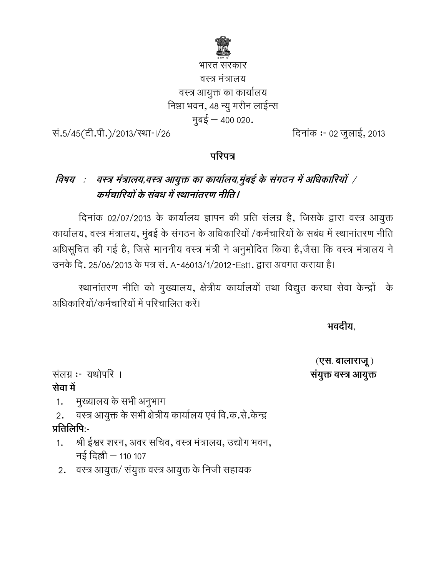

# भारत सरकार वस्त्र मत्रालय वस्त्र आयुक्त का कार्यालय निष्ठा भवन, 48 न्यु मरीन लाईन्स मुबई – 400 020.

स.5/45(टी.पी.)/2013/स्था-।/26

26 - :- 02 02 5\*,, 2013

### परिपत्र

#### विषय : वस्त्र मं ांत्रालय,वस्त्र आयुक्त का कार्यालय,मुंबई के संगठन में अधिकारियों *|* कर्मचारियों के संबध में स्थानांतरण नीति।

दिनाक 02/07/2013 के कार्यालय ज्ञापन की प्रति सलग्न है, जिसके द्वारा वस्त्र आयुक्त विनाक 02/07/2013 के कार्यालय ज्ञापन की प्रति सलग्न हैं, जिसके द्वारा वस्त्र आयुक्त<br>कार्यालय, वस्त्र मंत्रालय, मुंबई के संगठन के अधिकारियों /कर्मचारियों के सबंध में स्थानांतरण नीति आंधसूचित की गई है, जिसे माननीय वस्त्र मंत्री ने अनुमादित किया है,जैसा कि वस्त्र मंत्रालय ने उनके दि. 25/06/2013 के पत्र स. A-46013/1/2012-Estt. द्वारा अवगत कराया है। वेत की गई है, जिसे माननीय वस्त्र मंत्री ने अनुमादित किया है,जेसा कि वस्त्र मंत्रालय ने<br>दे. 25/06/2013 के पत्र सं. A-46013/1/2012-Estt. द्वारा अवगत कराया है।<br>स्थानांतरण नीति को मुख्यालय, क्षेत्रीय कार्यालयों तथा विद्युत कर

आंधेकारियो/कर्मचारियों में परिचालित करें।

 **)\* )\* ,** 

 **(,. . /0 )**  सयुक्त वस्त्र आयुक्त

सलग्न **:**- यथोपरि । <u>सेवा में</u>

1. मुख्यालय के सभी अनुभाग

2. वस्त्र आयुक्त के सभी क्षेत्रीय कार्यालय एवं वि.क.सं.केन्द्र प्रतिलिपिः-

- 1. श्री ईश्वर शरन, अवर सचिव, वस्त्र मत्रालय, उद्योग भवन, नई दिल्ली – 110 107
- 2. ) वस्त्र आयुक्त/ संयुक्त वस्त्र आयुक्त के निजी सहायक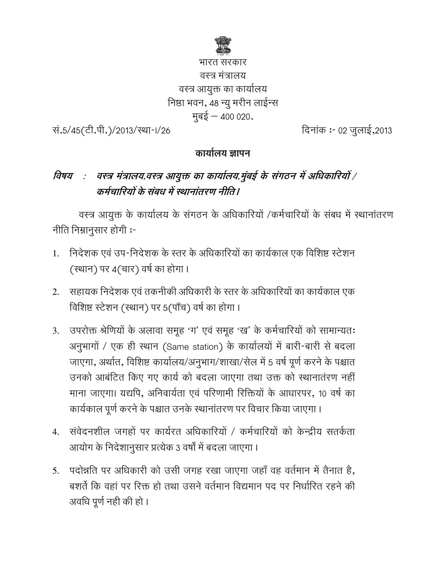

भारत सरकार वस्त्र मंत्रालय वस्त्र आयुक्त का कार्यालय निष्ठा भवन, 48 न्यु मरीन लाईन्स मुबई - 400 020.

सं.5/45(टी.पी.)/2013/स्था-।/26

दिनांक :- 02 जूलाई,2013

#### कार्यालय ज्ञापन

# विषय ः वस्त्र मंत्रालय,वस्त्र आयुक्त का कार्यालय,मुंबई के संगठन में अधिकारियों / कर्मचारियों के संबध में स्थानांतरण नीति।

वस्त्र आयुक्त के कार्यालय के संगठन के अधिकारियों /कर्मचारियों के संबध में स्थानांतरण नीति निम्नानुसार होगी:-

- निदेशक एवं उप-निदेशक के स्तर के अधिकारियों का कार्यकाल एक विशिष्ट स्टेशन  $1<sub>1</sub>$ (स्थान) पर 4(चार) वर्ष का होगा ।
- सहायक निदेशक एवं तकनीकी अधिकारी के स्तर के अधिकारियों का कार्यकाल एक  $2.$ विशिष्ट स्टेशन (स्थान) पर 5(पाँच) वर्ष का होगा।
- उपरोक्त श्रेणियों के अलावा समूह 'ग' एवं समूह 'ख' के कर्मचारियों को सामान्यतः  $3.$ अनुभागों / एक ही स्थान (Same station) के कार्यालयों में बारी-बारी से बदला जाएगा, अर्थात, विशिष्ट कार्यालय/अनुभाग/शाखा/सेल में 5 वर्ष पूर्ण करने के पश्चात उनको आबंटित किए गए कार्य को बदला जाएगा तथा उक्त को स्थानातंरण नहीं माना जाएगा। यद्यपि, अनिवार्यता एवं परिणामी रिक्तियों के आधारपर, 10 वर्ष का कार्यकाल पूर्ण करने के पश्चात उनके स्थानांतरण पर विचार किया जाएगा ।
- 4. संवेदनशील जगहों पर कार्यरत अधिकारियों / कर्मचारियों को केन्द्रीय सतर्कता आयोग के निदेशानुसार प्रत्येक 3 वर्षों में बदला जाएगा ।
- 5. पदोन्नति पर अधिकारी को उसी जगह रखा जाएगा जहाँ वह वर्तमान में तैनात है, बशर्ते कि वहां पर रिक्त हो तथा उसने वर्तमान विद्यमान पद पर निर्धारित रहने की अवधि पूर्ण नही की हो ।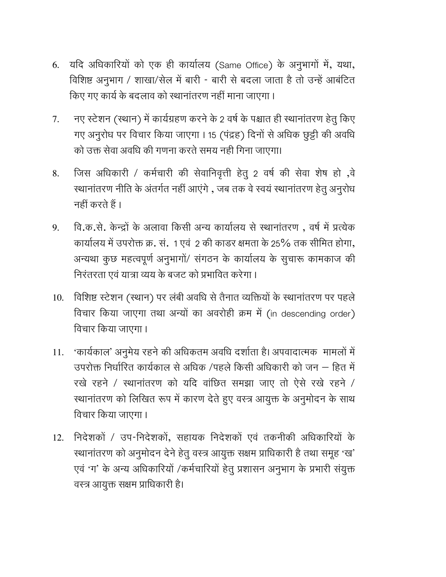- 6. यदि अधिकारियों को एक ही कार्यालय (Same Office) के अनुभागों में, यथा, विशिष्ट अनुभाग / शाखा/सेल में बारी - बारी से बदला जाता है तो उन्हें आबंटित किए गए कार्य के बदलाव को स्थानांतरण नहीं माना जाएगा।
- नए स्टेशन (स्थान) में कार्यग्रहण करने के 2 वर्ष के पश्चात ही स्थानांतरण हेतू किए 7. गए अनुरोध पर विचार किया जाएगा । 15 (पंद्रह) दिनों से अधिक छुट्टी की अवधि को उक्त सेवा अवधि की गणना करते समय नही गिना जाएगा।
- जिस अधिकारी / कर्मचारी की सेवानिवृत्ती हेतु 2 वर्ष की सेवा शेष हो ,वे 8. स्थानांतरण नीति के अंतर्गत नहीं आएंगे , जब तक वे स्वयं स्थानांतरण हेतू अनूरोध नहीं करते हैं ।
- वि.क.से. केन्द्रों के अलावा किसी अन्य कार्यालय से स्थानांतरण, वर्ष में प्रत्येक 9. कार्यालय में उपरोक्त क्र. सं. 1 एवं 2 की काडर क्षमता के 25% तक सीमित होगा, अन्यथा कुछ महत्वपूर्ण अनुभागों/ संगठन के कार्यालय के सूचारू कामकाज की निरंतरता एवं यात्रा व्यय के बजट को प्रभावित करेगा।
- 10. विशिष्ट स्टेशन (स्थान) पर लंबी अवधि से तैनात व्यक्तियों के स्थानांतरण पर पहले विचार किया जाएगा तथा अन्यों का अवरोही क्रम में (in descending order) विचार किया जाएगा।
- 'कार्यकाल' अनुमेय रहने की अधिकतम अवधि दर्शाता है। अपवादात्मक) मामलों में 11. उपरोक्त निर्धारित कार्यकाल से अधिक /पहले किसी अधिकारी को जन – हित में रखे रहने / स्थानांतरण को यदि वांछित समझा जाए तो ऐसे रखे रहने / स्थानांतरण को लिखित रूप में कारण देते हुए वस्त्र आयुक्त के अनुमोदन के साथ विचार किया जाएगा।
- निदेशकों / उप-निदेशकों, सहायक निदेशकों एवं तकनीकी अधिकारियों के 12. स्थानांतरण को अनुमोदन देने हेतू वस्त्र आयुक्त सक्षम प्राधिकारी है तथा समूह 'ख' एवं 'ग' के अन्य अधिकारियों /कर्मचारियों हेतु प्रशासन अनुभाग के प्रभारी संयुक्त वस्त्र आयुक्त सक्षम प्राधिकारी है।